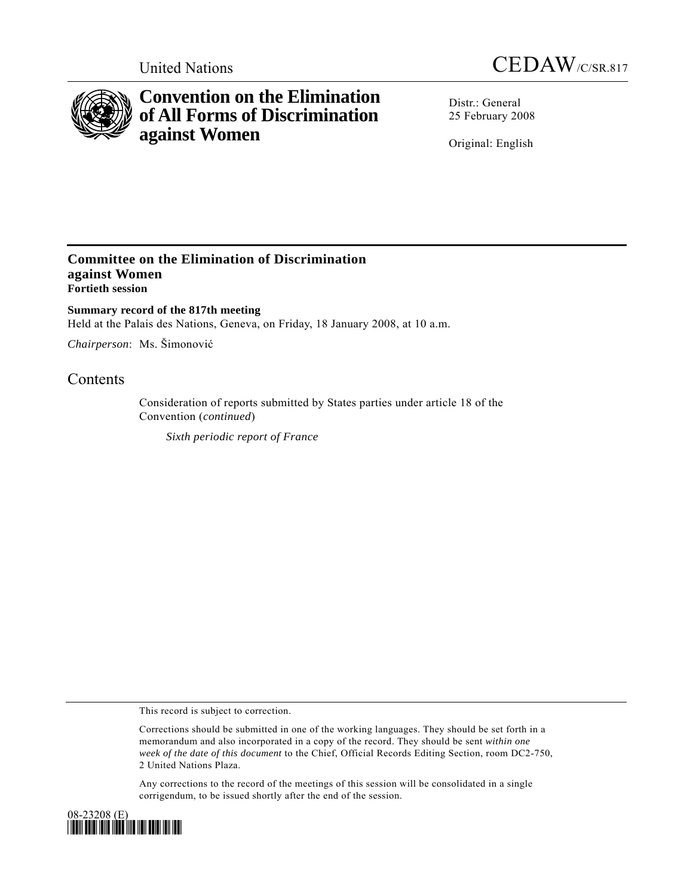



# **Convention on the Elimination of All Forms of Discrimination against Women**

Distr · General 25 February 2008

Original: English

### **Committee on the Elimination of Discrimination against Women Fortieth session**

**Summary record of the 817th meeting**  Held at the Palais des Nations, Geneva, on Friday, 18 January 2008, at 10 a.m.

*Chairperson*: Ms. Šimonović

## **Contents**

Consideration of reports submitted by States parties under article 18 of the Convention (*continued*)

*Sixth periodic report of France*

This record is subject to correction.

Corrections should be submitted in one of the working languages. They should be set forth in a memorandum and also incorporated in a copy of the record. They should be sent *within one week of the date of this document* to the Chief, Official Records Editing Section, room DC2-750, 2 United Nations Plaza.

Any corrections to the record of the meetings of this session will be consolidated in a single corrigendum, to be issued shortly after the end of the session.

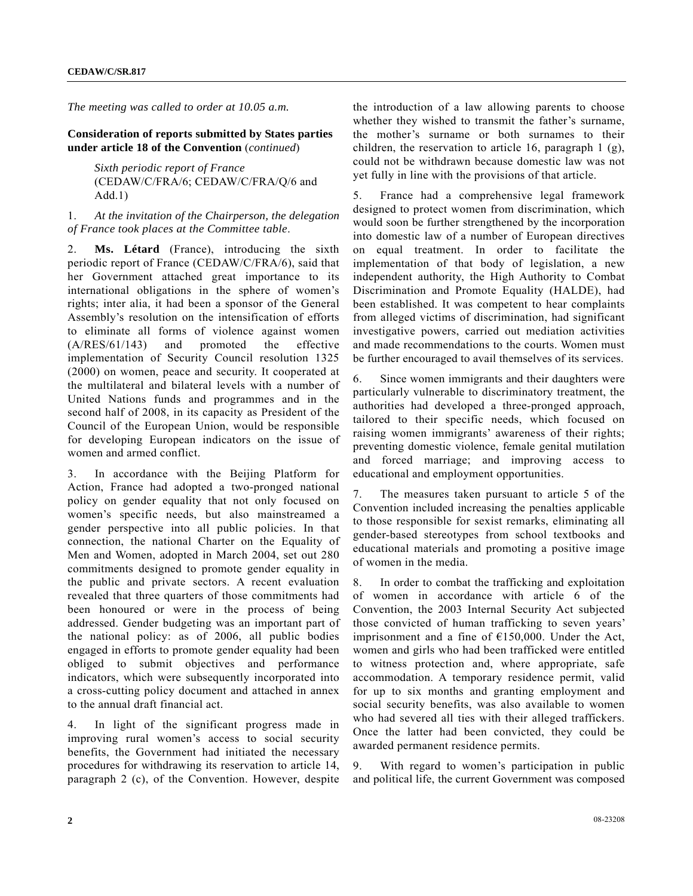*The meeting was called to order at 10.05 a.m.* 

**Consideration of reports submitted by States parties under article 18 of the Convention** (*continued*)

> *Sixth periodic report of France*  (CEDAW/C/FRA/6; CEDAW/C/FRA/Q/6 and Add.1)

#### 1. *At the invitation of the Chairperson, the delegation of France took places at the Committee table*.

2. **Ms. Létard** (France), introducing the sixth periodic report of France (CEDAW/C/FRA/6), said that her Government attached great importance to its international obligations in the sphere of women's rights; inter alia, it had been a sponsor of the General Assembly's resolution on the intensification of efforts to eliminate all forms of violence against women (A/RES/61/143) and promoted the effective implementation of Security Council resolution 1325 (2000) on women, peace and security. It cooperated at the multilateral and bilateral levels with a number of United Nations funds and programmes and in the second half of 2008, in its capacity as President of the Council of the European Union, would be responsible for developing European indicators on the issue of women and armed conflict.

3. In accordance with the Beijing Platform for Action, France had adopted a two-pronged national policy on gender equality that not only focused on women's specific needs, but also mainstreamed a gender perspective into all public policies. In that connection, the national Charter on the Equality of Men and Women, adopted in March 2004, set out 280 commitments designed to promote gender equality in the public and private sectors. A recent evaluation revealed that three quarters of those commitments had been honoured or were in the process of being addressed. Gender budgeting was an important part of the national policy: as of 2006, all public bodies engaged in efforts to promote gender equality had been obliged to submit objectives and performance indicators, which were subsequently incorporated into a cross-cutting policy document and attached in annex to the annual draft financial act.

4. In light of the significant progress made in improving rural women's access to social security benefits, the Government had initiated the necessary procedures for withdrawing its reservation to article 14, paragraph 2 (c), of the Convention. However, despite the introduction of a law allowing parents to choose whether they wished to transmit the father's surname, the mother's surname or both surnames to their children, the reservation to article 16, paragraph 1 (g), could not be withdrawn because domestic law was not yet fully in line with the provisions of that article.

5. France had a comprehensive legal framework designed to protect women from discrimination, which would soon be further strengthened by the incorporation into domestic law of a number of European directives on equal treatment. In order to facilitate the implementation of that body of legislation, a new independent authority, the High Authority to Combat Discrimination and Promote Equality (HALDE), had been established. It was competent to hear complaints from alleged victims of discrimination, had significant investigative powers, carried out mediation activities and made recommendations to the courts. Women must be further encouraged to avail themselves of its services.

6. Since women immigrants and their daughters were particularly vulnerable to discriminatory treatment, the authorities had developed a three-pronged approach, tailored to their specific needs, which focused on raising women immigrants' awareness of their rights; preventing domestic violence, female genital mutilation and forced marriage; and improving access to educational and employment opportunities.

7. The measures taken pursuant to article 5 of the Convention included increasing the penalties applicable to those responsible for sexist remarks, eliminating all gender-based stereotypes from school textbooks and educational materials and promoting a positive image of women in the media.

8. In order to combat the trafficking and exploitation of women in accordance with article 6 of the Convention, the 2003 Internal Security Act subjected those convicted of human trafficking to seven years' imprisonment and a fine of  $£150,000$ . Under the Act, women and girls who had been trafficked were entitled to witness protection and, where appropriate, safe accommodation. A temporary residence permit, valid for up to six months and granting employment and social security benefits, was also available to women who had severed all ties with their alleged traffickers. Once the latter had been convicted, they could be awarded permanent residence permits.

9. With regard to women's participation in public and political life, the current Government was composed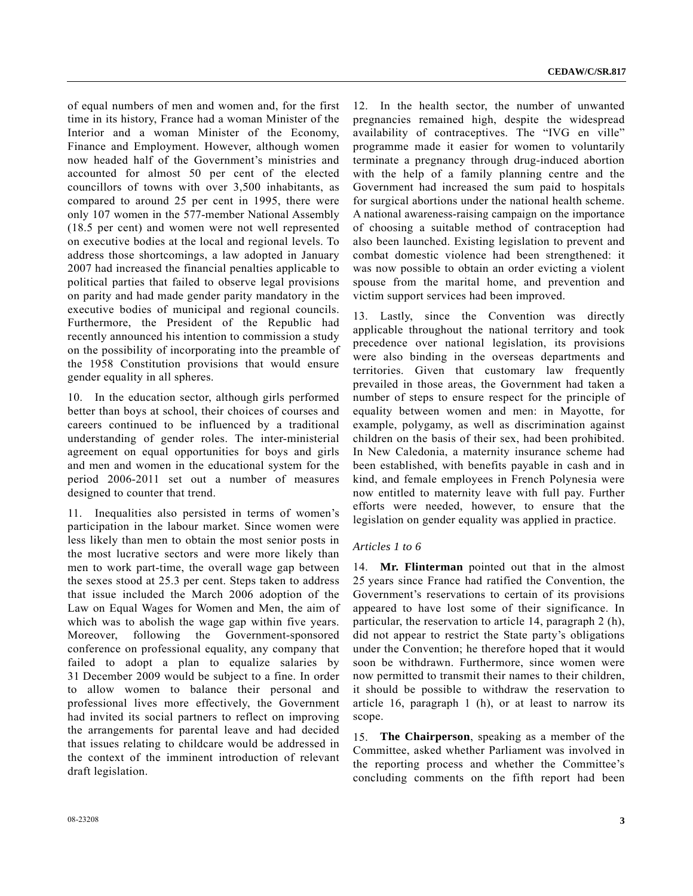of equal numbers of men and women and, for the first time in its history, France had a woman Minister of the Interior and a woman Minister of the Economy, Finance and Employment. However, although women now headed half of the Government's ministries and accounted for almost 50 per cent of the elected councillors of towns with over 3,500 inhabitants, as compared to around 25 per cent in 1995, there were only 107 women in the 577-member National Assembly (18.5 per cent) and women were not well represented on executive bodies at the local and regional levels. To address those shortcomings, a law adopted in January 2007 had increased the financial penalties applicable to political parties that failed to observe legal provisions on parity and had made gender parity mandatory in the executive bodies of municipal and regional councils. Furthermore, the President of the Republic had recently announced his intention to commission a study on the possibility of incorporating into the preamble of the 1958 Constitution provisions that would ensure gender equality in all spheres.

10. In the education sector, although girls performed better than boys at school, their choices of courses and careers continued to be influenced by a traditional understanding of gender roles. The inter-ministerial agreement on equal opportunities for boys and girls and men and women in the educational system for the period 2006-2011 set out a number of measures designed to counter that trend.

11. Inequalities also persisted in terms of women's participation in the labour market. Since women were less likely than men to obtain the most senior posts in the most lucrative sectors and were more likely than men to work part-time, the overall wage gap between the sexes stood at 25.3 per cent. Steps taken to address that issue included the March 2006 adoption of the Law on Equal Wages for Women and Men, the aim of which was to abolish the wage gap within five years. Moreover, following the Government-sponsored conference on professional equality, any company that failed to adopt a plan to equalize salaries by 31 December 2009 would be subject to a fine. In order to allow women to balance their personal and professional lives more effectively, the Government had invited its social partners to reflect on improving the arrangements for parental leave and had decided that issues relating to childcare would be addressed in the context of the imminent introduction of relevant draft legislation.

12. In the health sector, the number of unwanted pregnancies remained high, despite the widespread availability of contraceptives. The "IVG en ville" programme made it easier for women to voluntarily terminate a pregnancy through drug-induced abortion with the help of a family planning centre and the Government had increased the sum paid to hospitals for surgical abortions under the national health scheme. A national awareness-raising campaign on the importance of choosing a suitable method of contraception had also been launched. Existing legislation to prevent and combat domestic violence had been strengthened: it was now possible to obtain an order evicting a violent spouse from the marital home, and prevention and victim support services had been improved.

13. Lastly, since the Convention was directly applicable throughout the national territory and took precedence over national legislation, its provisions were also binding in the overseas departments and territories. Given that customary law frequently prevailed in those areas, the Government had taken a number of steps to ensure respect for the principle of equality between women and men: in Mayotte, for example, polygamy, as well as discrimination against children on the basis of their sex, had been prohibited. In New Caledonia, a maternity insurance scheme had been established, with benefits payable in cash and in kind, and female employees in French Polynesia were now entitled to maternity leave with full pay. Further efforts were needed, however, to ensure that the legislation on gender equality was applied in practice.

#### *Articles 1 to 6*

14. **Mr. Flinterman** pointed out that in the almost 25 years since France had ratified the Convention, the Government's reservations to certain of its provisions appeared to have lost some of their significance. In particular, the reservation to article 14, paragraph 2 (h), did not appear to restrict the State party's obligations under the Convention; he therefore hoped that it would soon be withdrawn. Furthermore, since women were now permitted to transmit their names to their children, it should be possible to withdraw the reservation to article 16, paragraph 1 (h), or at least to narrow its scope.

15. **The Chairperson**, speaking as a member of the Committee, asked whether Parliament was involved in the reporting process and whether the Committee's concluding comments on the fifth report had been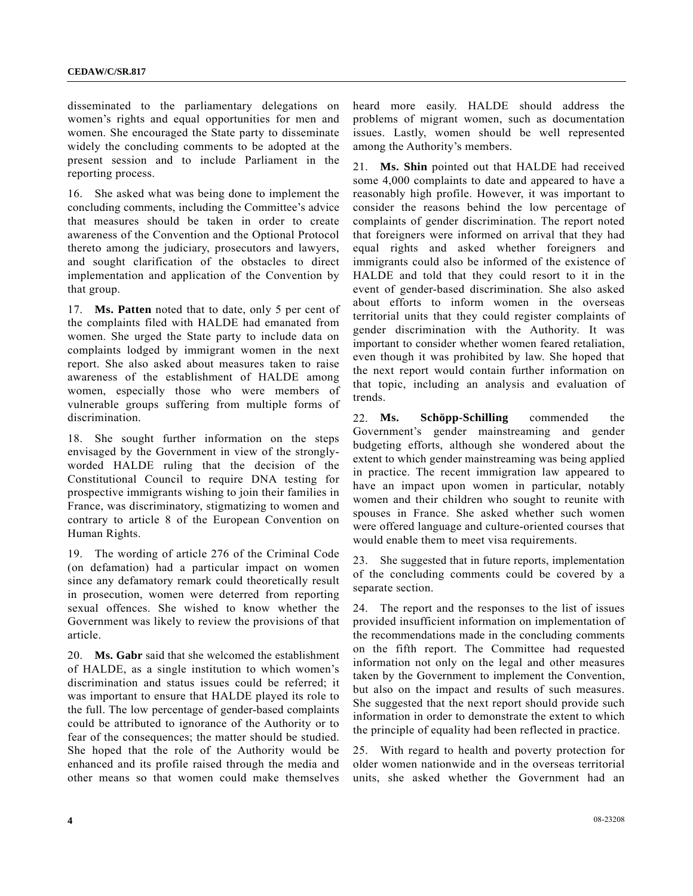disseminated to the parliamentary delegations on women's rights and equal opportunities for men and women. She encouraged the State party to disseminate widely the concluding comments to be adopted at the present session and to include Parliament in the reporting process.

16. She asked what was being done to implement the concluding comments, including the Committee's advice that measures should be taken in order to create awareness of the Convention and the Optional Protocol thereto among the judiciary, prosecutors and lawyers, and sought clarification of the obstacles to direct implementation and application of the Convention by that group.

17. **Ms. Patten** noted that to date, only 5 per cent of the complaints filed with HALDE had emanated from women. She urged the State party to include data on complaints lodged by immigrant women in the next report. She also asked about measures taken to raise awareness of the establishment of HALDE among women, especially those who were members of vulnerable groups suffering from multiple forms of discrimination.

18. She sought further information on the steps envisaged by the Government in view of the stronglyworded HALDE ruling that the decision of the Constitutional Council to require DNA testing for prospective immigrants wishing to join their families in France, was discriminatory, stigmatizing to women and contrary to article 8 of the European Convention on Human Rights.

19. The wording of article 276 of the Criminal Code (on defamation) had a particular impact on women since any defamatory remark could theoretically result in prosecution, women were deterred from reporting sexual offences. She wished to know whether the Government was likely to review the provisions of that article.

20. **Ms. Gabr** said that she welcomed the establishment of HALDE, as a single institution to which women's discrimination and status issues could be referred; it was important to ensure that HALDE played its role to the full. The low percentage of gender-based complaints could be attributed to ignorance of the Authority or to fear of the consequences; the matter should be studied. She hoped that the role of the Authority would be enhanced and its profile raised through the media and other means so that women could make themselves

heard more easily. HALDE should address the problems of migrant women, such as documentation issues. Lastly, women should be well represented among the Authority's members.

21. **Ms. Shin** pointed out that HALDE had received some 4,000 complaints to date and appeared to have a reasonably high profile. However, it was important to consider the reasons behind the low percentage of complaints of gender discrimination. The report noted that foreigners were informed on arrival that they had equal rights and asked whether foreigners and immigrants could also be informed of the existence of HALDE and told that they could resort to it in the event of gender-based discrimination. She also asked about efforts to inform women in the overseas territorial units that they could register complaints of gender discrimination with the Authority. It was important to consider whether women feared retaliation, even though it was prohibited by law. She hoped that the next report would contain further information on that topic, including an analysis and evaluation of trends.

22. **Ms. Schöpp-Schilling** commended the Government's gender mainstreaming and gender budgeting efforts, although she wondered about the extent to which gender mainstreaming was being applied in practice. The recent immigration law appeared to have an impact upon women in particular, notably women and their children who sought to reunite with spouses in France. She asked whether such women were offered language and culture-oriented courses that would enable them to meet visa requirements.

23. She suggested that in future reports, implementation of the concluding comments could be covered by a separate section.

24. The report and the responses to the list of issues provided insufficient information on implementation of the recommendations made in the concluding comments on the fifth report. The Committee had requested information not only on the legal and other measures taken by the Government to implement the Convention, but also on the impact and results of such measures. She suggested that the next report should provide such information in order to demonstrate the extent to which the principle of equality had been reflected in practice.

25. With regard to health and poverty protection for older women nationwide and in the overseas territorial units, she asked whether the Government had an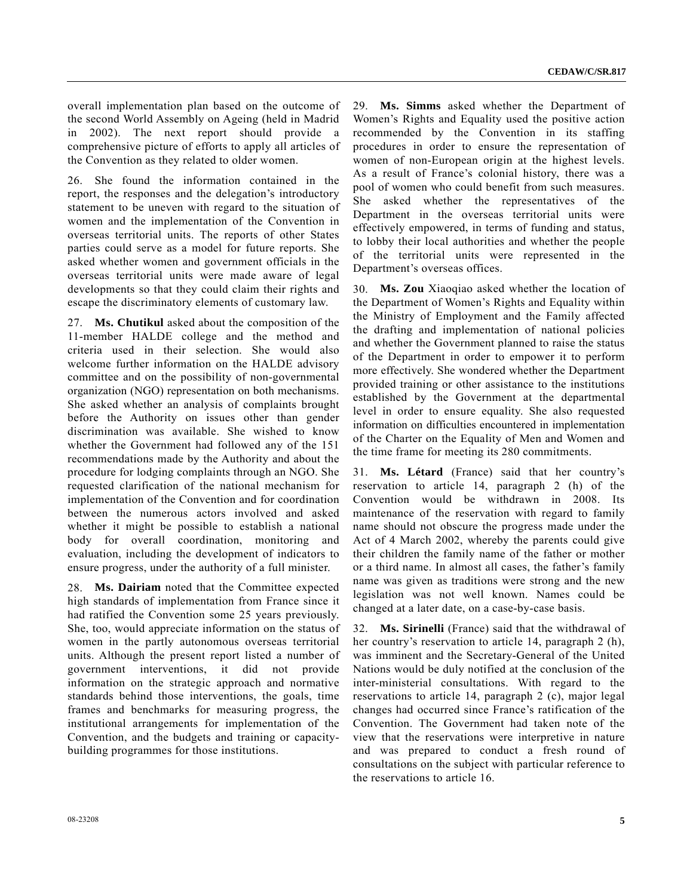overall implementation plan based on the outcome of the second World Assembly on Ageing (held in Madrid in 2002). The next report should provide a comprehensive picture of efforts to apply all articles of the Convention as they related to older women.

26. She found the information contained in the report, the responses and the delegation's introductory statement to be uneven with regard to the situation of women and the implementation of the Convention in overseas territorial units. The reports of other States parties could serve as a model for future reports. She asked whether women and government officials in the overseas territorial units were made aware of legal developments so that they could claim their rights and escape the discriminatory elements of customary law.

27. **Ms. Chutikul** asked about the composition of the 11-member HALDE college and the method and criteria used in their selection. She would also welcome further information on the HALDE advisory committee and on the possibility of non-governmental organization (NGO) representation on both mechanisms. She asked whether an analysis of complaints brought before the Authority on issues other than gender discrimination was available. She wished to know whether the Government had followed any of the 151 recommendations made by the Authority and about the procedure for lodging complaints through an NGO. She requested clarification of the national mechanism for implementation of the Convention and for coordination between the numerous actors involved and asked whether it might be possible to establish a national body for overall coordination, monitoring and evaluation, including the development of indicators to ensure progress, under the authority of a full minister.

28. **Ms. Dairiam** noted that the Committee expected high standards of implementation from France since it had ratified the Convention some 25 years previously. She, too, would appreciate information on the status of women in the partly autonomous overseas territorial units. Although the present report listed a number of government interventions, it did not provide information on the strategic approach and normative standards behind those interventions, the goals, time frames and benchmarks for measuring progress, the institutional arrangements for implementation of the Convention, and the budgets and training or capacitybuilding programmes for those institutions.

29. **Ms. Simms** asked whether the Department of Women's Rights and Equality used the positive action recommended by the Convention in its staffing procedures in order to ensure the representation of women of non-European origin at the highest levels. As a result of France's colonial history, there was a pool of women who could benefit from such measures. She asked whether the representatives of the Department in the overseas territorial units were effectively empowered, in terms of funding and status, to lobby their local authorities and whether the people of the territorial units were represented in the Department's overseas offices.

30. **Ms. Zou** Xiaoqiao asked whether the location of the Department of Women's Rights and Equality within the Ministry of Employment and the Family affected the drafting and implementation of national policies and whether the Government planned to raise the status of the Department in order to empower it to perform more effectively. She wondered whether the Department provided training or other assistance to the institutions established by the Government at the departmental level in order to ensure equality. She also requested information on difficulties encountered in implementation of the Charter on the Equality of Men and Women and the time frame for meeting its 280 commitments.

31. **Ms. Létard** (France) said that her country's reservation to article 14, paragraph 2 (h) of the Convention would be withdrawn in 2008. Its maintenance of the reservation with regard to family name should not obscure the progress made under the Act of 4 March 2002, whereby the parents could give their children the family name of the father or mother or a third name. In almost all cases, the father's family name was given as traditions were strong and the new legislation was not well known. Names could be changed at a later date, on a case-by-case basis.

32. **Ms. Sirinelli** (France) said that the withdrawal of her country's reservation to article 14, paragraph 2 (h), was imminent and the Secretary-General of the United Nations would be duly notified at the conclusion of the inter-ministerial consultations. With regard to the reservations to article 14, paragraph 2 (c), major legal changes had occurred since France's ratification of the Convention. The Government had taken note of the view that the reservations were interpretive in nature and was prepared to conduct a fresh round of consultations on the subject with particular reference to the reservations to article 16.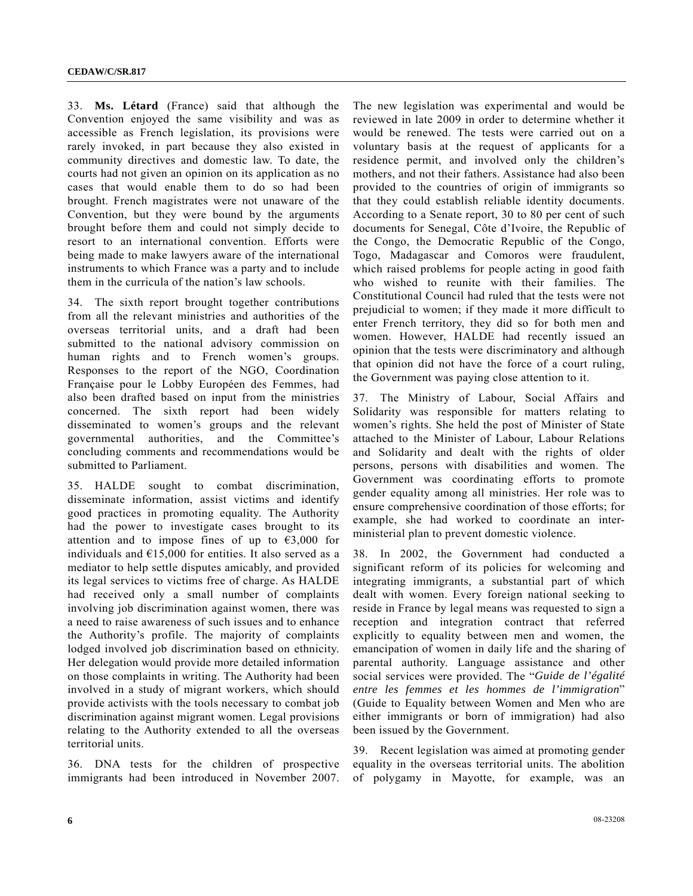33. **Ms. Létard** (France) said that although the Convention enjoyed the same visibility and was as accessible as French legislation, its provisions were rarely invoked, in part because they also existed in community directives and domestic law. To date, the courts had not given an opinion on its application as no cases that would enable them to do so had been brought. French magistrates were not unaware of the Convention, but they were bound by the arguments brought before them and could not simply decide to resort to an international convention. Efforts were being made to make lawyers aware of the international instruments to which France was a party and to include them in the curricula of the nation's law schools.

34. The sixth report brought together contributions from all the relevant ministries and authorities of the overseas territorial units, and a draft had been submitted to the national advisory commission on human rights and to French women's groups. Responses to the report of the NGO, Coordination Française pour le Lobby Européen des Femmes, had also been drafted based on input from the ministries concerned. The sixth report had been widely disseminated to women's groups and the relevant governmental authorities, and the Committee's concluding comments and recommendations would be submitted to Parliament.

35. HALDE sought to combat discrimination, disseminate information, assist victims and identify good practices in promoting equality. The Authority had the power to investigate cases brought to its attention and to impose fines of up to  $\epsilon$ 3,000 for individuals and  $E15,000$  for entities. It also served as a mediator to help settle disputes amicably, and provided its legal services to victims free of charge. As HALDE had received only a small number of complaints involving job discrimination against women, there was a need to raise awareness of such issues and to enhance the Authority's profile. The majority of complaints lodged involved job discrimination based on ethnicity. Her delegation would provide more detailed information on those complaints in writing. The Authority had been involved in a study of migrant workers, which should provide activists with the tools necessary to combat job discrimination against migrant women. Legal provisions relating to the Authority extended to all the overseas territorial units.

36. DNA tests for the children of prospective immigrants had been introduced in November 2007. The new legislation was experimental and would be reviewed in late 2009 in order to determine whether it would be renewed. The tests were carried out on a voluntary basis at the request of applicants for a residence permit, and involved only the children's mothers, and not their fathers. Assistance had also been provided to the countries of origin of immigrants so that they could establish reliable identity documents. According to a Senate report, 30 to 80 per cent of such documents for Senegal, Côte d'Ivoire, the Republic of the Congo, the Democratic Republic of the Congo, Togo, Madagascar and Comoros were fraudulent, which raised problems for people acting in good faith who wished to reunite with their families. The Constitutional Council had ruled that the tests were not prejudicial to women; if they made it more difficult to enter French territory, they did so for both men and women. However, HALDE had recently issued an opinion that the tests were discriminatory and although that opinion did not have the force of a court ruling, the Government was paying close attention to it.

37. The Ministry of Labour, Social Affairs and Solidarity was responsible for matters relating to women's rights. She held the post of Minister of State attached to the Minister of Labour, Labour Relations and Solidarity and dealt with the rights of older persons, persons with disabilities and women. The Government was coordinating efforts to promote gender equality among all ministries. Her role was to ensure comprehensive coordination of those efforts; for example, she had worked to coordinate an interministerial plan to prevent domestic violence.

38. In 2002, the Government had conducted a significant reform of its policies for welcoming and integrating immigrants, a substantial part of which dealt with women. Every foreign national seeking to reside in France by legal means was requested to sign a reception and integration contract that referred explicitly to equality between men and women, the emancipation of women in daily life and the sharing of parental authority. Language assistance and other social services were provided. The "*Guide de l'égalité entre les femmes et les hommes de l'immigration*" (Guide to Equality between Women and Men who are either immigrants or born of immigration) had also been issued by the Government.

39. Recent legislation was aimed at promoting gender equality in the overseas territorial units. The abolition of polygamy in Mayotte, for example, was an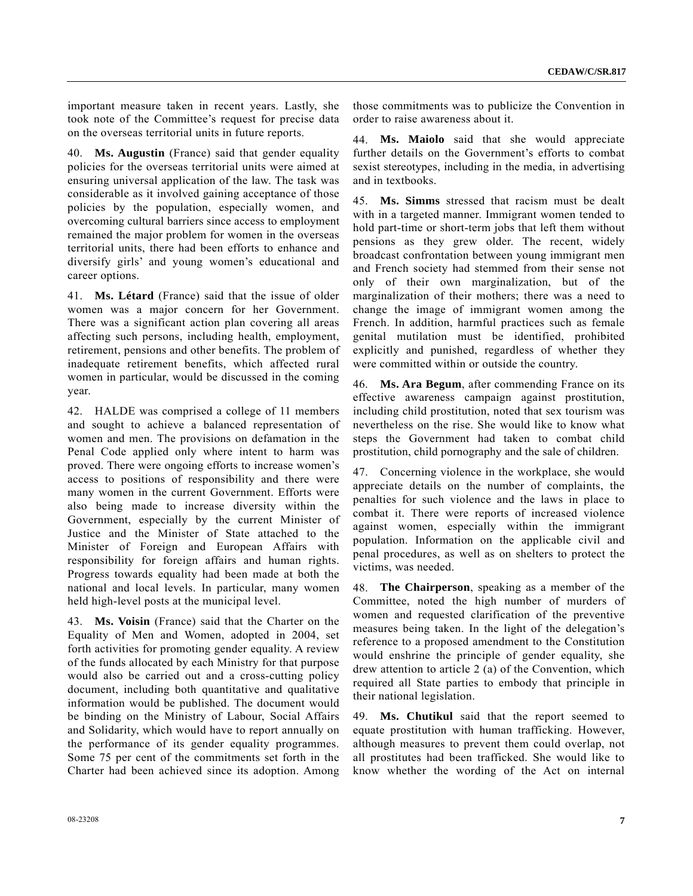important measure taken in recent years. Lastly, she took note of the Committee's request for precise data on the overseas territorial units in future reports.

40. **Ms. Augustin** (France) said that gender equality policies for the overseas territorial units were aimed at ensuring universal application of the law. The task was considerable as it involved gaining acceptance of those policies by the population, especially women, and overcoming cultural barriers since access to employment remained the major problem for women in the overseas territorial units, there had been efforts to enhance and diversify girls' and young women's educational and career options.

41. **Ms. Létard** (France) said that the issue of older women was a major concern for her Government. There was a significant action plan covering all areas affecting such persons, including health, employment, retirement, pensions and other benefits. The problem of inadequate retirement benefits, which affected rural women in particular, would be discussed in the coming year.

42. HALDE was comprised a college of 11 members and sought to achieve a balanced representation of women and men. The provisions on defamation in the Penal Code applied only where intent to harm was proved. There were ongoing efforts to increase women's access to positions of responsibility and there were many women in the current Government. Efforts were also being made to increase diversity within the Government, especially by the current Minister of Justice and the Minister of State attached to the Minister of Foreign and European Affairs with responsibility for foreign affairs and human rights. Progress towards equality had been made at both the national and local levels. In particular, many women held high-level posts at the municipal level.

43. **Ms. Voisin** (France) said that the Charter on the Equality of Men and Women, adopted in 2004, set forth activities for promoting gender equality. A review of the funds allocated by each Ministry for that purpose would also be carried out and a cross-cutting policy document, including both quantitative and qualitative information would be published. The document would be binding on the Ministry of Labour, Social Affairs and Solidarity, which would have to report annually on the performance of its gender equality programmes. Some 75 per cent of the commitments set forth in the Charter had been achieved since its adoption. Among

those commitments was to publicize the Convention in order to raise awareness about it.

44. **Ms. Maiolo** said that she would appreciate further details on the Government's efforts to combat sexist stereotypes, including in the media, in advertising and in textbooks.

45. **Ms. Simms** stressed that racism must be dealt with in a targeted manner. Immigrant women tended to hold part-time or short-term jobs that left them without pensions as they grew older. The recent, widely broadcast confrontation between young immigrant men and French society had stemmed from their sense not only of their own marginalization, but of the marginalization of their mothers; there was a need to change the image of immigrant women among the French. In addition, harmful practices such as female genital mutilation must be identified, prohibited explicitly and punished, regardless of whether they were committed within or outside the country.

46. **Ms. Ara Begum**, after commending France on its effective awareness campaign against prostitution, including child prostitution, noted that sex tourism was nevertheless on the rise. She would like to know what steps the Government had taken to combat child prostitution, child pornography and the sale of children.

47. Concerning violence in the workplace, she would appreciate details on the number of complaints, the penalties for such violence and the laws in place to combat it. There were reports of increased violence against women, especially within the immigrant population. Information on the applicable civil and penal procedures, as well as on shelters to protect the victims, was needed.

48. **The Chairperson**, speaking as a member of the Committee, noted the high number of murders of women and requested clarification of the preventive measures being taken. In the light of the delegation's reference to a proposed amendment to the Constitution would enshrine the principle of gender equality, she drew attention to article 2 (a) of the Convention, which required all State parties to embody that principle in their national legislation.

49. **Ms. Chutikul** said that the report seemed to equate prostitution with human trafficking. However, although measures to prevent them could overlap, not all prostitutes had been trafficked. She would like to know whether the wording of the Act on internal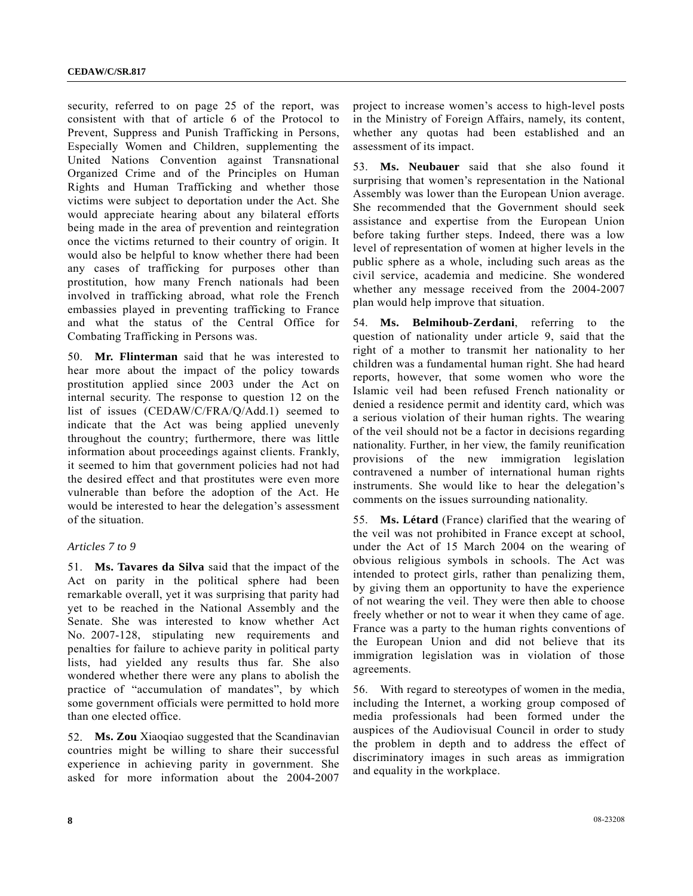security, referred to on page 25 of the report, was consistent with that of article 6 of the Protocol to Prevent, Suppress and Punish Trafficking in Persons, Especially Women and Children, supplementing the United Nations Convention against Transnational Organized Crime and of the Principles on Human Rights and Human Trafficking and whether those victims were subject to deportation under the Act. She would appreciate hearing about any bilateral efforts being made in the area of prevention and reintegration once the victims returned to their country of origin. It would also be helpful to know whether there had been any cases of trafficking for purposes other than prostitution, how many French nationals had been involved in trafficking abroad, what role the French embassies played in preventing trafficking to France and what the status of the Central Office for Combating Trafficking in Persons was.

50. **Mr. Flinterman** said that he was interested to hear more about the impact of the policy towards prostitution applied since 2003 under the Act on internal security. The response to question 12 on the list of issues (CEDAW/C/FRA/Q/Add.1) seemed to indicate that the Act was being applied unevenly throughout the country; furthermore, there was little information about proceedings against clients. Frankly, it seemed to him that government policies had not had the desired effect and that prostitutes were even more vulnerable than before the adoption of the Act. He would be interested to hear the delegation's assessment of the situation.

#### *Articles 7 to 9*

51. **Ms. Tavares da Silva** said that the impact of the Act on parity in the political sphere had been remarkable overall, yet it was surprising that parity had yet to be reached in the National Assembly and the Senate. She was interested to know whether Act No. 2007-128, stipulating new requirements and penalties for failure to achieve parity in political party lists, had yielded any results thus far. She also wondered whether there were any plans to abolish the practice of "accumulation of mandates", by which some government officials were permitted to hold more than one elected office.

52. **Ms. Zou** Xiaoqiao suggested that the Scandinavian countries might be willing to share their successful experience in achieving parity in government. She asked for more information about the 2004-2007 project to increase women's access to high-level posts in the Ministry of Foreign Affairs, namely, its content, whether any quotas had been established and an assessment of its impact.

53. **Ms. Neubauer** said that she also found it surprising that women's representation in the National Assembly was lower than the European Union average. She recommended that the Government should seek assistance and expertise from the European Union before taking further steps. Indeed, there was a low level of representation of women at higher levels in the public sphere as a whole, including such areas as the civil service, academia and medicine. She wondered whether any message received from the 2004-2007 plan would help improve that situation.

54. **Ms. Belmihoub-Zerdani**, referring to the question of nationality under article 9, said that the right of a mother to transmit her nationality to her children was a fundamental human right. She had heard reports, however, that some women who wore the Islamic veil had been refused French nationality or denied a residence permit and identity card, which was a serious violation of their human rights. The wearing of the veil should not be a factor in decisions regarding nationality. Further, in her view, the family reunification provisions of the new immigration legislation contravened a number of international human rights instruments. She would like to hear the delegation's comments on the issues surrounding nationality.

55. **Ms. Létard** (France) clarified that the wearing of the veil was not prohibited in France except at school, under the Act of 15 March 2004 on the wearing of obvious religious symbols in schools. The Act was intended to protect girls, rather than penalizing them, by giving them an opportunity to have the experience of not wearing the veil. They were then able to choose freely whether or not to wear it when they came of age. France was a party to the human rights conventions of the European Union and did not believe that its immigration legislation was in violation of those agreements.

56. With regard to stereotypes of women in the media, including the Internet, a working group composed of media professionals had been formed under the auspices of the Audiovisual Council in order to study the problem in depth and to address the effect of discriminatory images in such areas as immigration and equality in the workplace.